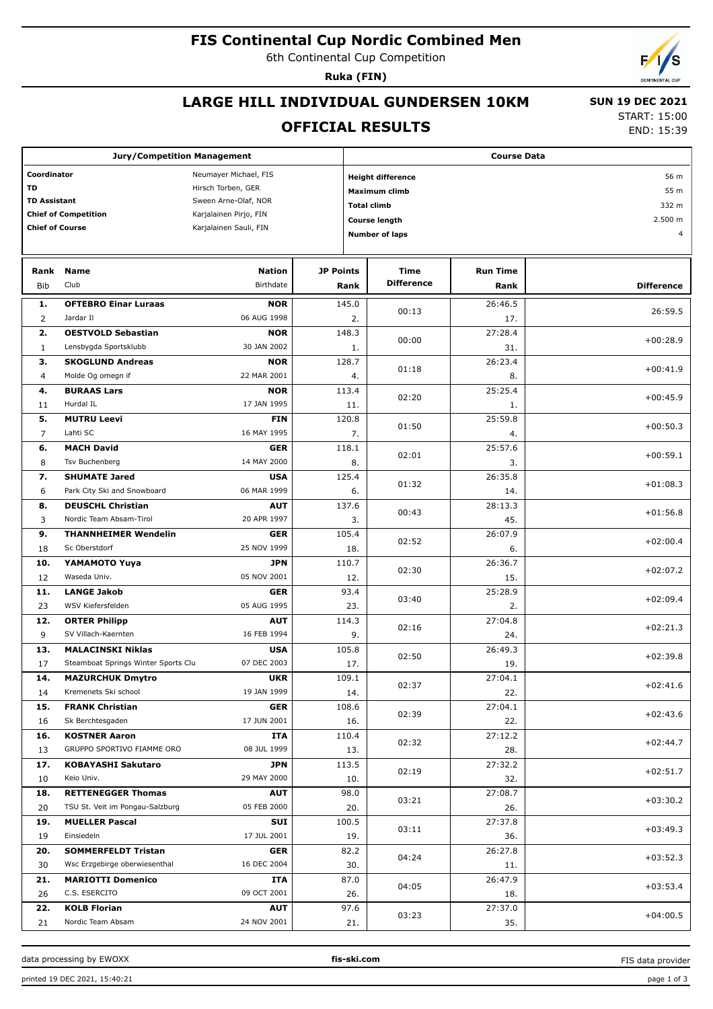# **FIS Continental Cup Nordic Combined Men**

6th Continental Cup Competition

**Ruka (FIN)**

## **LARGE HILL INDIVIDUAL GUNDERSEN 10KM**

### **OFFICIAL RESULTS**

 **SUN 19 DEC 2021** START: 15:00

END: 15:39

|                                             | <b>Jury/Competition Management</b>      |                           |                      | <b>Course Data</b>               |                 |                   |  |  |  |
|---------------------------------------------|-----------------------------------------|---------------------------|----------------------|----------------------------------|-----------------|-------------------|--|--|--|
| Coordinator<br>Neumayer Michael, FIS        |                                         |                           |                      | <b>Height difference</b><br>56 m |                 |                   |  |  |  |
| TD<br>Hirsch Torben, GER                    |                                         |                           | <b>Maximum climb</b> | 55 m                             |                 |                   |  |  |  |
| <b>TD Assistant</b><br>Sween Arne-Olaf, NOR |                                         |                           |                      | 332 m<br><b>Total climb</b>      |                 |                   |  |  |  |
|                                             | <b>Chief of Competition</b>             | Karjalainen Pirjo, FIN    |                      | <b>Course length</b>             |                 | 2.500 m           |  |  |  |
| <b>Chief of Course</b>                      |                                         | Karjalainen Sauli, FIN    |                      | <b>Number of laps</b>            |                 | $\overline{4}$    |  |  |  |
|                                             |                                         |                           |                      |                                  |                 |                   |  |  |  |
| Rank                                        | <b>Name</b>                             | <b>Nation</b>             | <b>JP Points</b>     | Time                             | <b>Run Time</b> |                   |  |  |  |
| <b>Bib</b>                                  | Club                                    | Birthdate                 | Rank                 | <b>Difference</b>                | Rank            | <b>Difference</b> |  |  |  |
| 1.                                          | <b>OFTEBRO Einar Luraas</b>             | <b>NOR</b>                | 145.0                |                                  | 26:46.5         |                   |  |  |  |
| $\overline{2}$                              | Jardar II                               | 06 AUG 1998               | 2.                   | 00:13                            | 17.             | 26:59.5           |  |  |  |
| 2.                                          | <b>OESTVOLD Sebastian</b>               | <b>NOR</b>                | 148.3                | 00:00                            | 27:28.4         | $+00:28.9$        |  |  |  |
| $\mathbf{1}$                                | Lensbygda Sportsklubb                   | 30 JAN 2002               | 1.                   |                                  | 31.             |                   |  |  |  |
| 3.                                          | <b>SKOGLUND Andreas</b>                 | <b>NOR</b>                | 128.7                | 01:18                            | 26:23.4         | $+00:41.9$        |  |  |  |
| $\overline{4}$                              | Molde Og omegn if                       | 22 MAR 2001               | 4.                   |                                  | 8.              |                   |  |  |  |
| 4.                                          | <b>BURAAS Lars</b>                      | <b>NOR</b>                | 113.4                | 02:20                            | 25:25.4         | $+00:45.9$        |  |  |  |
| 11                                          | Hurdal IL                               | 17 JAN 1995               | 11.                  |                                  | 1.              |                   |  |  |  |
| 5.                                          | <b>MUTRU Leevi</b>                      | <b>FIN</b>                | 120.8                | 01:50                            | 25:59.8         | $+00:50.3$        |  |  |  |
| $\overline{7}$                              | Lahti SC                                | 16 MAY 1995               | 7.                   |                                  | 4.              |                   |  |  |  |
| 6.                                          | <b>MACH David</b>                       | <b>GER</b>                | 118.1                | 02:01                            | 25:57.6         | $+00:59.1$        |  |  |  |
| 8                                           | Tsv Buchenberg                          | 14 MAY 2000               | 8.                   |                                  | 3.              |                   |  |  |  |
| 7.                                          | <b>SHUMATE Jared</b>                    | <b>USA</b>                | 125.4                | 01:32                            | 26:35.8         | $+01:08.3$        |  |  |  |
| 6                                           | Park City Ski and Snowboard             | 06 MAR 1999               | 6.                   |                                  | 14.             |                   |  |  |  |
| 8.                                          | <b>DEUSCHL Christian</b>                | <b>AUT</b>                | 137.6                | 00:43                            | 28:13.3         | $+01:56.8$        |  |  |  |
| 3                                           | Nordic Team Absam-Tirol                 | 20 APR 1997               | 3.                   |                                  | 45.             |                   |  |  |  |
| 9.                                          | <b>THANNHEIMER Wendelin</b>             | <b>GER</b>                | 105.4                | 02:52                            | 26:07.9         | $+02:00.4$        |  |  |  |
| 18                                          | Sc Oberstdorf                           | 25 NOV 1999               | 18.                  |                                  | 6.              |                   |  |  |  |
| 10.                                         | YAMAMOTO Yuya                           | <b>JPN</b>                | 110.7                | 02:30                            | 26:36.7         | $+02:07.2$        |  |  |  |
| 12                                          | Waseda Univ.                            | 05 NOV 2001               | 12.                  |                                  | 15.             |                   |  |  |  |
| 11.<br>23                                   | <b>LANGE Jakob</b><br>WSV Kiefersfelden | <b>GER</b><br>05 AUG 1995 | 93.4<br>23.          | 03:40                            | 25:28.9<br>2.   | $+02:09.4$        |  |  |  |
| 12.                                         | <b>ORTER Philipp</b>                    | <b>AUT</b>                | 114.3                |                                  | 27:04.8         |                   |  |  |  |
| 9                                           | SV Villach-Kaernten                     | 16 FEB 1994               | 9.                   | 02:16                            | 24.             | $+02:21.3$        |  |  |  |
| 13.                                         | <b>MALACINSKI Niklas</b>                | <b>USA</b>                | 105.8                |                                  | 26:49.3         |                   |  |  |  |
| 17                                          | Steamboat Springs Winter Sports Clu     | 07 DEC 2003               | 17.                  | 02:50                            | 19.             | $+02:39.8$        |  |  |  |
| 14.                                         | <b>MAZURCHUK Dmytro</b>                 | <b>UKR</b>                | 109.1                |                                  | 27:04.1         |                   |  |  |  |
| 14                                          | Kremenets Ski school                    | 19 JAN 1999               | 14.                  | 02:37                            | 22.             | $+02:41.6$        |  |  |  |
| 15.                                         | <b>FRANK Christian</b>                  | GER                       | 108.6                |                                  | 27:04.1         |                   |  |  |  |
| 16                                          | Sk Berchtesgaden                        | 17 JUN 2001               | 16.                  | 02:39                            | 22.             | $+02:43.6$        |  |  |  |
| 16.                                         | <b>KOSTNER Aaron</b>                    | ITA                       | 110.4                |                                  | 27:12.2         |                   |  |  |  |
| 13                                          | GRUPPO SPORTIVO FIAMME ORO              | 08 JUL 1999               | 13.                  | 02:32                            | 28.             | $+02:44.7$        |  |  |  |
| 17.                                         | <b>KOBAYASHI Sakutaro</b>               | JPN                       | 113.5                |                                  | 27:32.2         |                   |  |  |  |
| 10                                          | Keio Univ.                              | 29 MAY 2000               | 10.                  | 02:19                            | 32.             | $+02:51.7$        |  |  |  |
| 18.                                         | <b>RETTENEGGER Thomas</b>               | <b>AUT</b>                | 98.0                 | 03:21                            | 27:08.7         | $+03:30.2$        |  |  |  |
| 20                                          | TSU St. Veit im Pongau-Salzburg         | 05 FEB 2000               | 20.                  |                                  | 26.             |                   |  |  |  |
| 19.                                         | <b>MUELLER Pascal</b>                   | SUI                       | 100.5                | 03:11                            | 27:37.8         | $+03:49.3$        |  |  |  |
| 19                                          | Einsiedeln                              | 17 JUL 2001               | 19.                  |                                  | 36.             |                   |  |  |  |
| 20.                                         | <b>SOMMERFELDT Tristan</b>              | GER                       | 82.2                 | 04:24                            | 26:27.8         | $+03:52.3$        |  |  |  |
| 30                                          | Wsc Erzgebirge oberwiesenthal           | 16 DEC 2004               | 30.                  |                                  | 11.             |                   |  |  |  |
| 21.                                         | <b>MARIOTTI Domenico</b>                | ITA                       | 87.0                 | 04:05                            | 26:47.9         | $+03:53.4$        |  |  |  |
| 26                                          | C.S. ESERCITO                           | 09 OCT 2001               | 26.                  |                                  | 18.             |                   |  |  |  |
| 22.                                         | <b>KOLB Florian</b>                     | <b>AUT</b>                | 97.6                 | 03:23                            | 27:37.0         | $+04:00.5$        |  |  |  |
| 21                                          | Nordic Team Absam                       | 24 NOV 2001               | 21.                  |                                  | 35.             |                   |  |  |  |

data processing by EWOXX **fis-ski.com**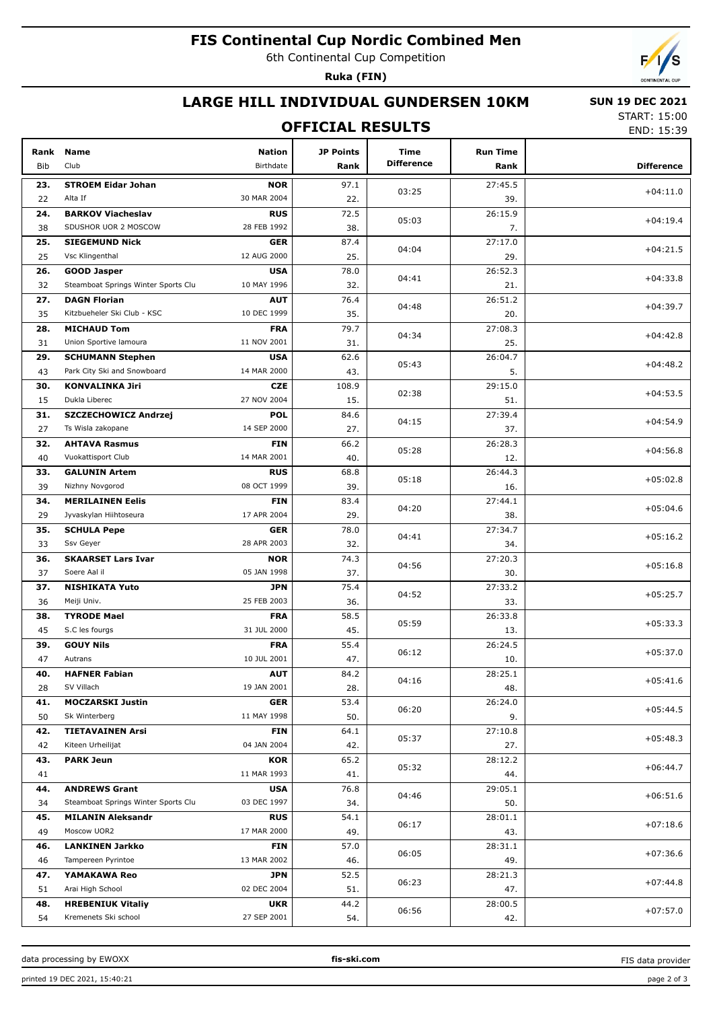# **FIS Continental Cup Nordic Combined Men**

6th Continental Cup Competition

**Ruka (FIN)**



## **LARGE HILL INDIVIDUAL GUNDERSEN 10KM**

#### **OFFICIAL RESULTS**

 **SUN 19 DEC 2021** START: 15:00

END: 15:39

| Rank<br>Bib | <b>Name</b><br>Club                 | <b>Nation</b><br>Birthdate | <b>JP Points</b><br>Rank | Time<br><b>Difference</b> | <b>Run Time</b><br>Rank | <b>Difference</b> |
|-------------|-------------------------------------|----------------------------|--------------------------|---------------------------|-------------------------|-------------------|
|             |                                     |                            |                          |                           |                         |                   |
| 23.         | <b>STROEM Eidar Johan</b>           | <b>NOR</b>                 | 97.1                     | 03:25                     | 27:45.5                 | $+04:11.0$        |
| 22          | Alta If                             | 30 MAR 2004                | 22.                      |                           | 39.                     |                   |
| 24.         | <b>BARKOV Viacheslav</b>            | <b>RUS</b><br>28 FEB 1992  | 72.5                     | 05:03                     | 26:15.9                 | $+04:19.4$        |
| 38          | SDUSHOR UOR 2 MOSCOW                |                            | 38.                      |                           | 7.                      |                   |
| 25.         | <b>SIEGEMUND Nick</b>               | <b>GER</b>                 | 87.4                     | 04:04                     | 27:17.0                 | $+04:21.5$        |
| 25          | Vsc Klingenthal                     | 12 AUG 2000                | 25.                      |                           | 29.                     |                   |
| 26.         | <b>GOOD Jasper</b>                  | <b>USA</b>                 | 78.0                     | 04:41                     | 26:52.3                 | $+04:33.8$        |
| 32          | Steamboat Springs Winter Sports Clu | 10 MAY 1996                | 32.                      |                           | 21.                     |                   |
| 27.         | <b>DAGN Florian</b>                 | <b>AUT</b>                 | 76.4                     | 04:48                     | 26:51.2                 | $+04:39.7$        |
| 35          | Kitzbueheler Ski Club - KSC         | 10 DEC 1999                | 35.                      |                           | 20.                     |                   |
| 28.         | <b>MICHAUD Tom</b>                  | <b>FRA</b>                 | 79.7                     | 04:34                     | 27:08.3                 | $+04:42.8$        |
| 31          | Union Sportive lamoura              | 11 NOV 2001                | 31.                      |                           | 25.                     |                   |
| 29.         | <b>SCHUMANN Stephen</b>             | <b>USA</b>                 | 62.6                     | 05:43                     | 26:04.7                 | $+04:48.2$        |
| 43          | Park City Ski and Snowboard         | 14 MAR 2000                | 43.                      |                           | 5.                      |                   |
| 30.         | <b>KONVALINKA Jiri</b>              | <b>CZE</b>                 | 108.9                    | 02:38                     | 29:15.0                 | $+04:53.5$        |
| 15          | Dukla Liberec                       | 27 NOV 2004                | 15.                      |                           | 51.                     |                   |
| 31.         | SZCZECHOWICZ Andrzej                | <b>POL</b>                 | 84.6                     | 04:15                     | 27:39.4                 | $+04:54.9$        |
| 27          | Ts Wisla zakopane                   | 14 SEP 2000                | 27.                      |                           | 37.                     |                   |
| 32.         | <b>AHTAVA Rasmus</b>                | <b>FIN</b>                 | 66.2                     | 05:28                     | 26:28.3                 | $+04:56.8$        |
| 40          | Vuokattisport Club                  | 14 MAR 2001                | 40.                      |                           | 12.                     |                   |
| 33.         | <b>GALUNIN Artem</b>                | <b>RUS</b>                 | 68.8                     | 05:18                     | 26:44.3                 | $+05:02.8$        |
| 39          | Nizhny Novgorod                     | 08 OCT 1999                | 39.                      |                           | 16.                     |                   |
| 34.         | <b>MERILAINEN Eelis</b>             | <b>FIN</b>                 | 83.4                     | 04:20                     | 27:44.1                 | $+05:04.6$        |
| 29          | Jyvaskylan Hiihtoseura              | 17 APR 2004                | 29.                      |                           | 38.                     |                   |
| 35.         | <b>SCHULA Pepe</b>                  | <b>GER</b>                 | 78.0                     | 04:41                     | 27:34.7                 | $+05:16.2$        |
| 33          | Ssv Geyer                           | 28 APR 2003                | 32.                      |                           | 34.                     |                   |
| 36.         | <b>SKAARSET Lars Ivar</b>           | <b>NOR</b>                 | 74.3                     | 04:56                     | 27:20.3                 | $+05:16.8$        |
| 37          | Soere Aal il                        | 05 JAN 1998                | 37.                      |                           | 30.                     |                   |
| 37.         | <b>NISHIKATA Yuto</b>               | JPN                        | 75.4                     | 04:52                     | 27:33.2                 | $+05:25.7$        |
| 36          | Meiji Univ.                         | 25 FEB 2003                | 36.                      |                           | 33.                     |                   |
| 38.         | <b>TYRODE Mael</b>                  | <b>FRA</b>                 | 58.5                     | 05:59                     | 26:33.8                 | $+05:33.3$        |
| 45          | S.C les fourgs                      | 31 JUL 2000                | 45.                      |                           | 13.                     |                   |
| 39.         | <b>GOUY Nils</b>                    | <b>FRA</b>                 | 55.4                     | 06:12                     | 26:24.5                 | $+05:37.0$        |
| 47          | Autrans                             | 10 JUL 2001                | 47.                      |                           | 10.                     |                   |
| 40.         | <b>HAFNER Fabian</b>                | <b>AUT</b>                 | 84.2                     | 04:16                     | 28:25.1                 | $+05:41.6$        |
| 28          | SV Villach                          | 19 JAN 2001                | 28.                      |                           | 48.                     |                   |
| 41.         | <b>MOCZARSKI Justin</b>             | <b>GER</b>                 | 53.4                     | 06:20                     | 26:24.0                 | $+05:44.5$        |
| 50          | Sk Winterberg                       | 11 MAY 1998                | 50.                      |                           | 9.                      |                   |
| 42.         | <b>TIETAVAINEN Arsi</b>             | <b>FIN</b>                 | 64.1                     | 05:37                     | 27:10.8                 | $+05:48.3$        |
| 42          | Kiteen Urheilijat                   | 04 JAN 2004                | 42.                      |                           | 27.                     |                   |
| 43.         | <b>PARK Jeun</b>                    | <b>KOR</b>                 | 65.2                     | 05:32                     | 28:12.2                 | $+06:44.7$        |
| 41          |                                     | 11 MAR 1993                | 41.                      |                           | 44.                     |                   |
| 44.         | <b>ANDREWS Grant</b>                | <b>USA</b>                 | 76.8                     | 04:46                     | 29:05.1                 | $+06:51.6$        |
| 34          | Steamboat Springs Winter Sports Clu | 03 DEC 1997                | 34.                      |                           | 50.                     |                   |
| 45.         | <b>MILANIN Aleksandr</b>            | <b>RUS</b>                 | 54.1                     | 06:17                     | 28:01.1                 | $+07:18.6$        |
| 49          | Moscow UOR2                         | 17 MAR 2000                | 49.                      |                           | 43.                     |                   |
| 46.         | <b>LANKINEN Jarkko</b>              | <b>FIN</b>                 | 57.0                     | 06:05                     | 28:31.1                 | $+07:36.6$        |
| 46          | Tampereen Pyrintoe                  | 13 MAR 2002                | 46.                      |                           | 49.                     |                   |
| 47.         | YAMAKAWA Reo                        | JPN                        | 52.5                     | 06:23                     | 28:21.3                 | $+07:44.8$        |
| 51          | Arai High School                    | 02 DEC 2004                | 51.                      |                           | 47.                     |                   |
| 48.         | <b>HREBENIUK Vitaliy</b>            | <b>UKR</b>                 | 44.2                     | 06:56                     | 28:00.5                 | $+07:57.0$        |
| 54          | Kremenets Ski school                | 27 SEP 2001                | 54.                      |                           | 42.                     |                   |

data processing by EWOXX **fis-ski.com**

FIS data provider